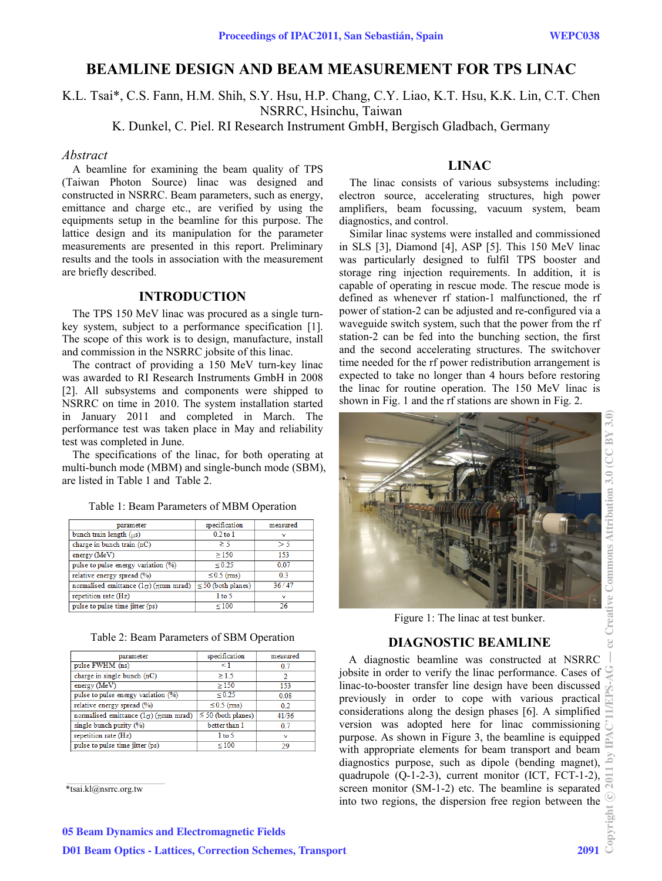# **BEAMLINE DESIGN AND BEAM MEASUREMENT FOR TPS LINAC**

K.L. Tsai\*, C.S. Fann, H.M. Shih, S.Y. Hsu, H.P. Chang, C.Y. Liao, K.T. Hsu, K.K. Lin, C.T. Chen NSRRC, Hsinchu, Taiwan

K. Dunkel, C. Piel. RI Research Instrument GmbH, Bergisch Gladbach, Germany

## *Abstract*

A beamline for examining the beam quality of TPS (Taiwan Photon Source) linac was designed and constructed in NSRRC. Beam parameters, such as energy, emittance and charge etc., are verified by using the equipments setup in the beamline for this purpose. The lattice design and its manipulation for the parameter measurements are presented in this report. Preliminary results and the tools in association with the measurement are briefly described.

# **INTRODUCTION**

The TPS 150 MeV linac was procured as a single turnkey system, subject to a performance specification [1]. The scope of this work is to design, manufacture, install and commission in the NSRRC jobsite of this linac.

The contract of providing a 150 MeV turn-key linac was awarded to RI Research Instruments GmbH in 2008 [2]. All subsystems and components were shipped to NSRRC on time in 2010. The system installation started in January 2011 and completed in March. The performance test was taken place in May and reliability test was completed in June.

The specifications of the linac, for both operating at multi-bunch mode (MBM) and single-bunch mode (SBM), are listed in Table 1 and Table 2.

| parameter                                         | specification           | measured       |
|---------------------------------------------------|-------------------------|----------------|
| bunch train length $(\mu s)$                      | $0.2$ to $1$            | $\checkmark$   |
| charge in bunch train (nC)                        | $\geq$ 5                | >5             |
| energy (MeV)                                      | $\geq$ 150              | 153            |
| pulse to pulse energy variation (%)               | $\le 0.25$              | 0.07           |
| relative energy spread (%)                        | $\leq$ 0.5 (ms)         | 0 <sup>3</sup> |
| normalised emittance $(1\sigma)$ ( $\pi$ mm mrad) | $\leq$ 50 (both planes) | 36/47          |
| repetition rate (Hz)                              | 1 to 5                  | $\checkmark$   |
| pulse to pulse time jitter (ps)                   | $\leq 100$              | 26             |

Table 1: Beam Parameters of MBM Operation

| parameter                                    | specification           | measured     |
|----------------------------------------------|-------------------------|--------------|
| pulse FWHM (ns)                              | $\leq$ 1                | 0.7          |
| charge in single bunch (nC)                  | >1.5                    | 2            |
| energy (MeV)                                 | >150                    | 153          |
| pulse to pulse energy variation (%)          | $\leq 0.25$             | 0.08         |
| relative energy spread (%)                   | $\leq$ 0.5 (ms)         | 0.2          |
| normalised emittance $(10)$ ( $\pi$ mm mrad) | $\leq$ 50 (both planes) | 41/36        |
| single bunch purity $(%)$                    | better than 1           | 0.7          |
| repetition rate (Hz)                         | 1 to 5                  | $\checkmark$ |
| pulse to pulse time jitter (ps)              | $\leq 100$              | 29           |

#### \*tsai.kl@nsrrc.org.tw



The linac consists of various subsystems including: electron source, accelerating structures, high power amplifiers, beam focussing, vacuum system, beam diagnostics, and control.

Similar linac systems were installed and commissioned in SLS [3], Diamond [4], ASP [5]. This 150 MeV linac was particularly designed to fulfil TPS booster and storage ring injection requirements. In addition, it is capable of operating in rescue mode. The rescue mode is defined as whenever rf station-1 malfunctioned, the rf power of station-2 can be adjusted and re-configured via a waveguide switch system, such that the power from the rf station-2 can be fed into the bunching section, the first and the second accelerating structures. The switchover time needed for the rf power redistribution arrangement is expected to take no longer than 4 hours before restoring the linac for routine operation. The 150 MeV linac is shown in Fig. 1 and the rf stations are shown in Fig. 2.



Figure 1: The linac at test bunker.

# **DIAGNOSTIC BEAMLINE**

A diagnostic beamline was constructed at NSRRC jobsite in order to verify the linac performance. Cases of  $\bigcirc$ linac-to-booster transfer line design have been discussed previously in order to cope with various practical considerations along the design phases [6]. A simplified version was adopted here for linac commissioning purpose. As shown in Figure 3, the beamline is equipped with appropriate elements for beam transport and beam diagnostics purpose, such as dipole (bending magnet), quadrupole (Q-1-2-3), current monitor (ICT, FCT-1-2), screen monitor (SM-1-2) etc. The beamline is separated into two regions, the dispersion free region between the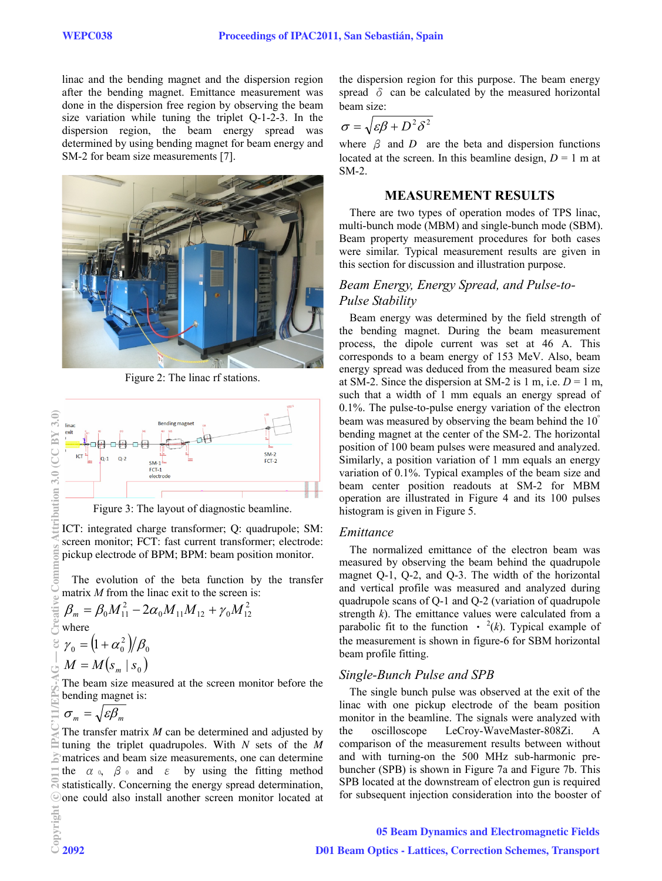linac and the bending magnet and the dispersion region after the bending magnet. Emittance measurement was done in the dispersion free region by observing the beam size variation while tuning the triplet Q-1-2-3. In the dispersion region, the beam energy spread was determined by using bending magnet for beam energy and SM-2 for beam size measurements [7].



Figure 2: The linac rf stations.



Figure 3: The layout of diagnostic beamline.

ICT: integrated charge transformer; Q: quadrupole; SM: screen monitor; FCT: fast current transformer; electrode: pickup electrode of BPM; BPM: beam position monitor.

The evolution of the beta function by the transfer matrix *M* from the linac exit to the screen is:

$$
\beta_m = \beta_0 M_{11}^2 - 2\alpha_0 M_{11} M_{12} + \gamma_0 M_{12}^2
$$
  
where  

$$
\gamma_0 = (1 + \alpha_0^2) / \beta_0
$$
  

$$
M = M(s_m \mid s_0)
$$

The beam size measured at the screen monitor before the bending magnet is:

$$
\sigma_m = \sqrt{\varepsilon \beta_m}
$$

The transfer matrix *M* can be determined and adjusted by tuning the triplet quadrupoles. With *N* sets of the *M*  matrices and beam size measurements, one can determine the  $\alpha$  o,  $\beta$  o and  $\epsilon$  by using the fitting method statistically. Concerning the energy spread determination, one could also install another screen monitor located at the dispersion region for this purpose. The beam energy spread  $\delta$  can be calculated by the measured horizontal beam size:

$$
\sigma = \sqrt{\varepsilon \beta + D^2 \delta^2}
$$

where  $\beta$  and *D* are the beta and dispersion functions located at the screen. In this beamline design,  $D = 1$  m at SM-2.

#### **MEASUREMENT RESULTS**

There are two types of operation modes of TPS linac, multi-bunch mode (MBM) and single-bunch mode (SBM). Beam property measurement procedures for both cases were similar. Typical measurement results are given in this section for discussion and illustration purpose.

# *Beam Energy, Energy Spread, and Pulse-to-Pulse Stability*

Beam energy was determined by the field strength of the bending magnet. During the beam measurement process, the dipole current was set at 46 A. This corresponds to a beam energy of 153 MeV. Also, beam energy spread was deduced from the measured beam size at SM-2. Since the dispersion at SM-2 is 1 m, i.e.  $D = 1$  m, such that a width of 1 mm equals an energy spread of 0.1%. The pulse-to-pulse energy variation of the electron beam was measured by observing the beam behind the 10<sup>°</sup> bending magnet at the center of the SM-2. The horizontal position of 100 beam pulses were measured and analyzed. Similarly, a position variation of 1 mm equals an energy variation of 0.1%. Typical examples of the beam size and beam center position readouts at SM-2 for MBM operation are illustrated in Figure 4 and its 100 pulses histogram is given in Figure 5.

### *Emittance*

The normalized emittance of the electron beam was measured by observing the beam behind the quadrupole magnet Q-1, Q-2, and Q-3. The width of the horizontal and vertical profile was measured and analyzed during quadrupole scans of Q-1 and Q-2 (variation of quadrupole strength *k*). The emittance values were calculated from a parabolic fit to the function  $\cdot$  <sup>2</sup>(k). Typical example of the measurement is shown in figure-6 for SBM horizontal beam profile fitting.

## *Single-Bunch Pulse and SPB*

The single bunch pulse was observed at the exit of the linac with one pickup electrode of the beam position monitor in the beamline. The signals were analyzed with the oscilloscope LeCroy-WaveMaster-808Zi. comparison of the measurement results between without and with turning-on the 500 MHz sub-harmonic prebuncher (SPB) is shown in Figure 7a and Figure 7b. This SPB located at the downstream of electron gun is required for subsequent injection consideration into the booster of

05 Beam Dynamics and Electromagnetic Fields D01 Beam Optics - Lattices, Correction Schemes, Transport